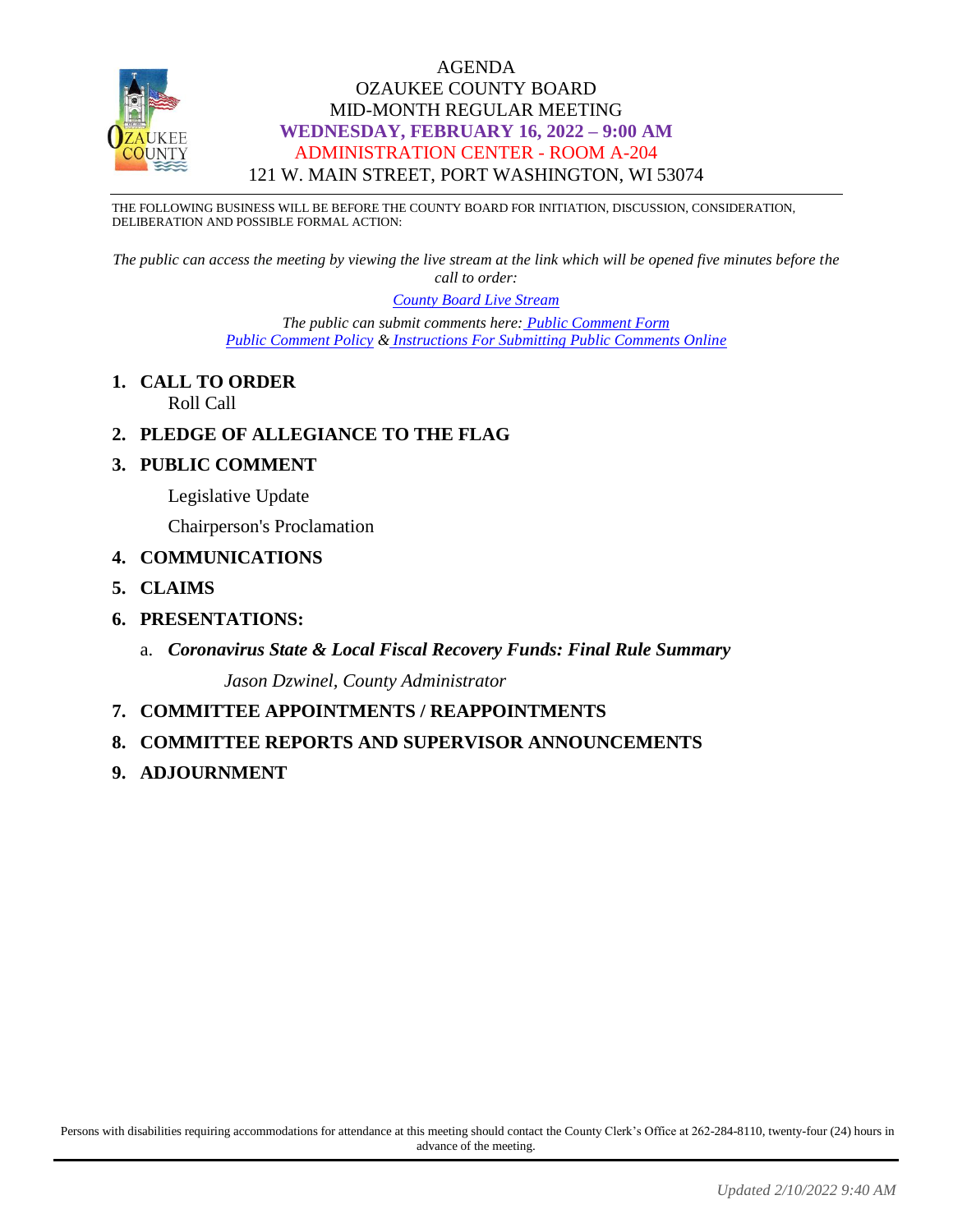

#### AGENDA OZAUKEE COUNTY BOARD MID-MONTH REGULAR MEETING **WEDNESDAY, FEBRUARY 16, 2022 – 9:00 AM** ADMINISTRATION CENTER - ROOM A-204 121 W. MAIN STREET, PORT WASHINGTON, WI 53074

THE FOLLOWING BUSINESS WILL BE BEFORE THE COUNTY BOARD FOR INITIATION, DISCUSSION, CONSIDERATION, DELIBERATION AND POSSIBLE FORMAL ACTION:

*The public can access the meeting by viewing the live stream at the link which will be opened five minutes before the call to order:*

*[County Board Live Stream](https://www.youtube.com/channel/UCQ16yLTEJmJo_h02WDDqcqg)*

*The public can submit comments here: [Public Comment Form](https://www.co.ozaukee.wi.us/FormCenter/Email-Forms-28/Email-Public-Comment-300) [Public Comment Policy](https://www.co.ozaukee.wi.us/2663/Public-Comments-at-In-Person-Meetings) & [Instructions For Submitting Public Comments Online](https://www.co.ozaukee.wi.us/2645/Public-Comments-at-Zoom-Meetings)*

**1. CALL TO ORDER**

Roll Call

- **2. PLEDGE OF ALLEGIANCE TO THE FLAG**
- **3. PUBLIC COMMENT**
	- Legislative Update

Chairperson's Proclamation

- **4. COMMUNICATIONS**
- **5. CLAIMS**
- **6. PRESENTATIONS:**
	- a. *Coronavirus State & Local Fiscal Recovery Funds: Final Rule Summary Jason Dzwinel, County Administrator*
- **7. COMMITTEE APPOINTMENTS / REAPPOINTMENTS**
- **8. COMMITTEE REPORTS AND SUPERVISOR ANNOUNCEMENTS**
- **9. ADJOURNMENT**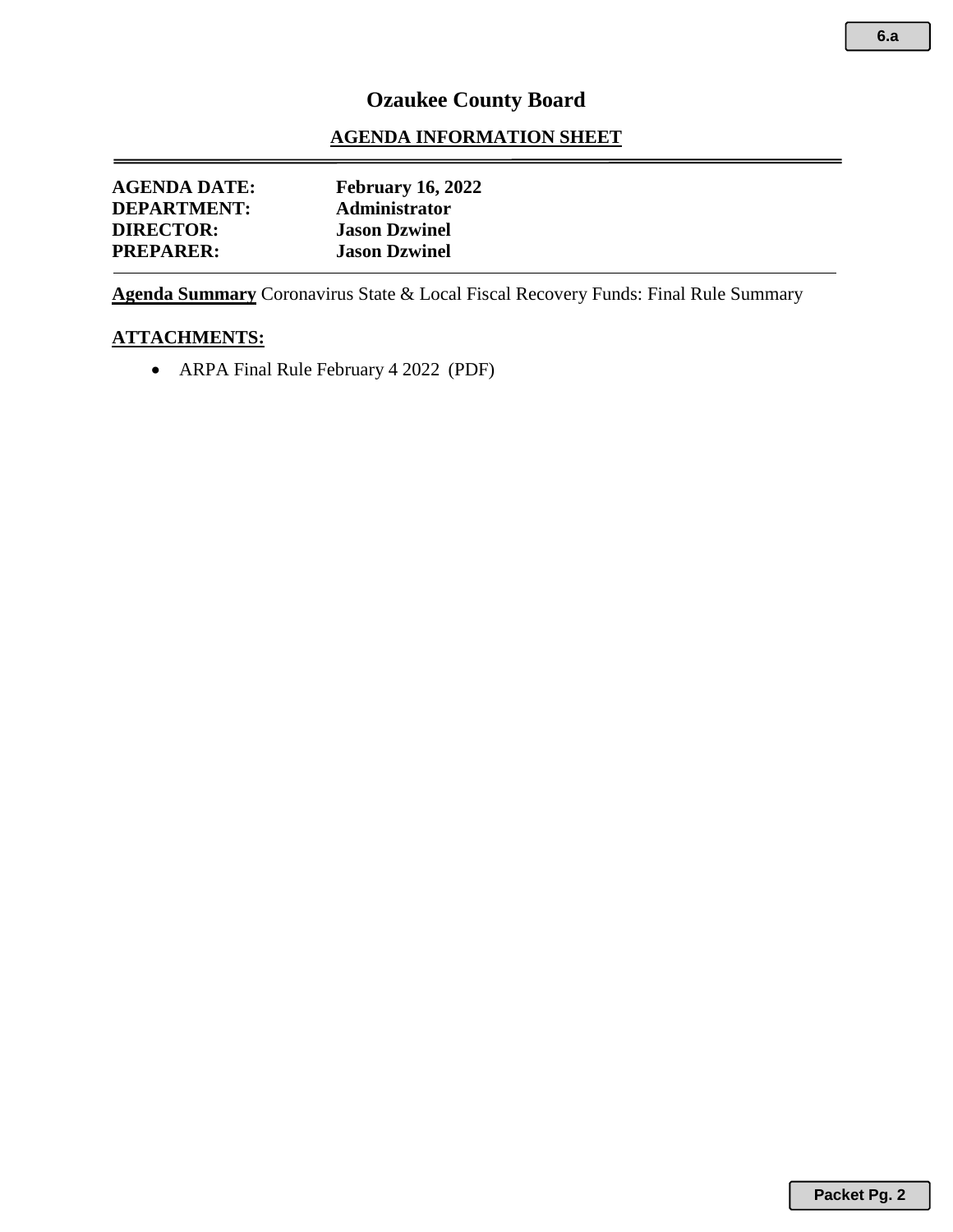## **Ozaukee County Board**

#### **AGENDA INFORMATION SHEET**

| <b>AGENDA DATE:</b> | <b>February 16, 2022</b> |  |
|---------------------|--------------------------|--|
| <b>DEPARTMENT:</b>  | Administrator            |  |
| <b>DIRECTOR:</b>    | <b>Jason Dzwinel</b>     |  |
| <b>PREPARER:</b>    | <b>Jason Dzwinel</b>     |  |
|                     |                          |  |

**Agenda Summary** Coronavirus State & Local Fiscal Recovery Funds: Final Rule Summary

#### **ATTACHMENTS:**

• ARPA Final Rule February 4 2022 (PDF)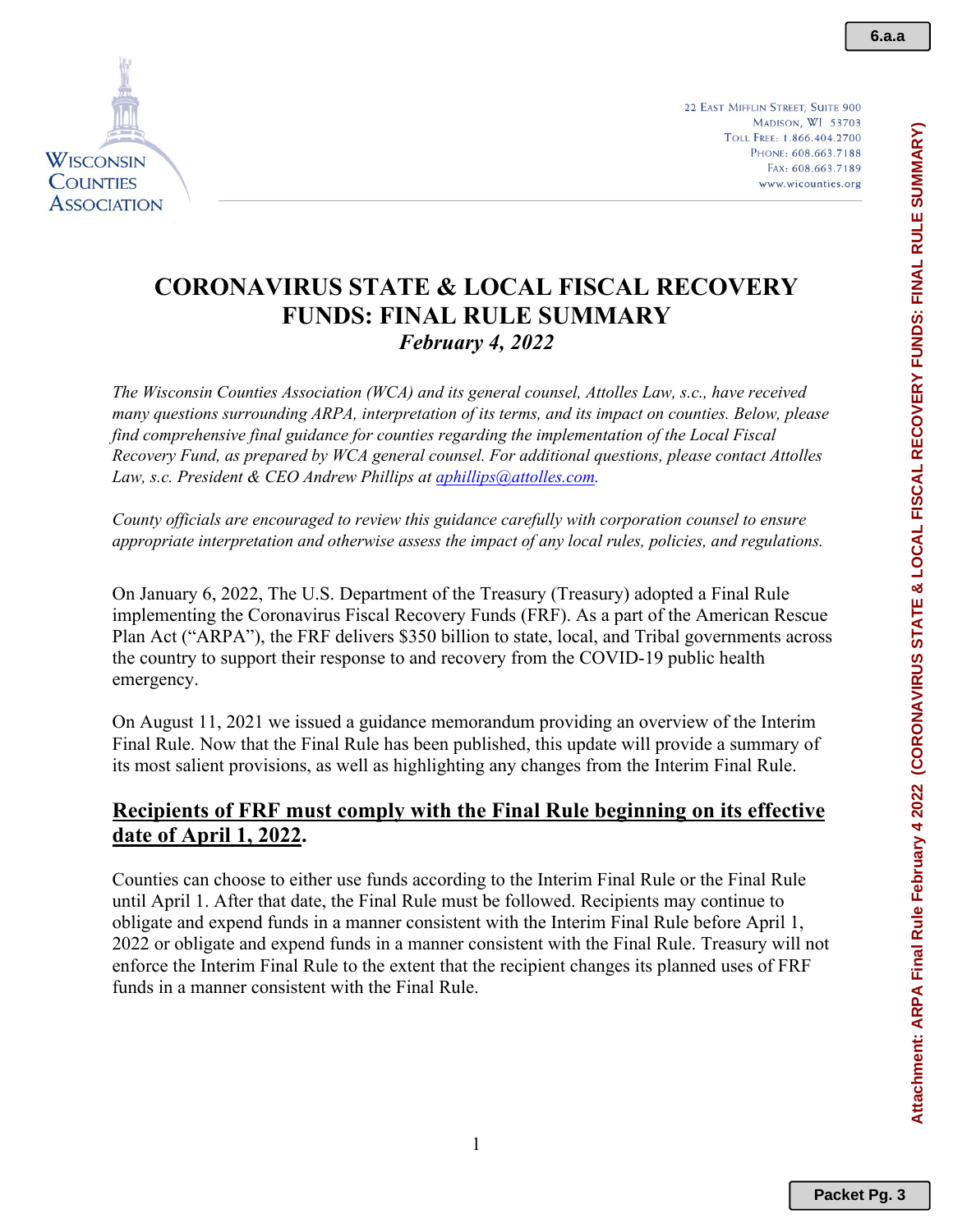22 EAST MIFFLIN STREET, SUITE 900 MADISON, WI 53703 TOLL FREE: 1.866.404.2700 PHONE: 608.663.7188 FAX: 608.663.7189 www.wicounties.org

## **CORONAVIRUS STATE & LOCAL FISCAL RECOVERY FUNDS: FINAL RULE SUMMARY** *February 4, 2022*

*The Wisconsin Counties Association (WCA) and its general counsel, Attolles Law, s.c., have received many questions surrounding ARPA, interpretation of its terms, and its impact on counties. Below, please find comprehensive final guidance for counties regarding the implementation of the Local Fiscal Recovery Fund, as prepared by WCA general counsel. For additional questions, please contact Attolles*  Law, s.c. President & CEO Andrew Phillips at *aphillips@attolles.com.* 

*County officials are encouraged to review this guidance carefully with corporation counsel to ensure appropriate interpretation and otherwise assess the impact of any local rules, policies, and regulations.*

On January 6, 2022, The U.S. Department of the Treasury (Treasury) adopted a Final Rule implementing the Coronavirus Fiscal Recovery Funds (FRF). As a part of the American Rescue Plan Act ("ARPA"), the FRF delivers \$350 billion to state, local, and Tribal governments across the country to support their response to and recovery from the COVID-19 public health emergency.

On August 11, 2021 we issued a guidance memorandum providing an overview of the Interim Final Rule. Now that the Final Rule has been published, this update will provide a summary of its most salient provisions, as well as highlighting any changes from the Interim Final Rule.

## **Recipients of FRF must comply with the Final Rule beginning on its effective date of April 1, 2022.**

Counties can choose to either use funds according to the Interim Final Rule or the Final Rule until April 1. After that date, the Final Rule must be followed. Recipients may continue to obligate and expend funds in a manner consistent with the Interim Final Rule before April 1, 2022 or obligate and expend funds in a manner consistent with the Final Rule. Treasury will not enforce the Interim Final Rule to the extent that the recipient changes its planned uses of FRF funds in a manner consistent with the Final Rule.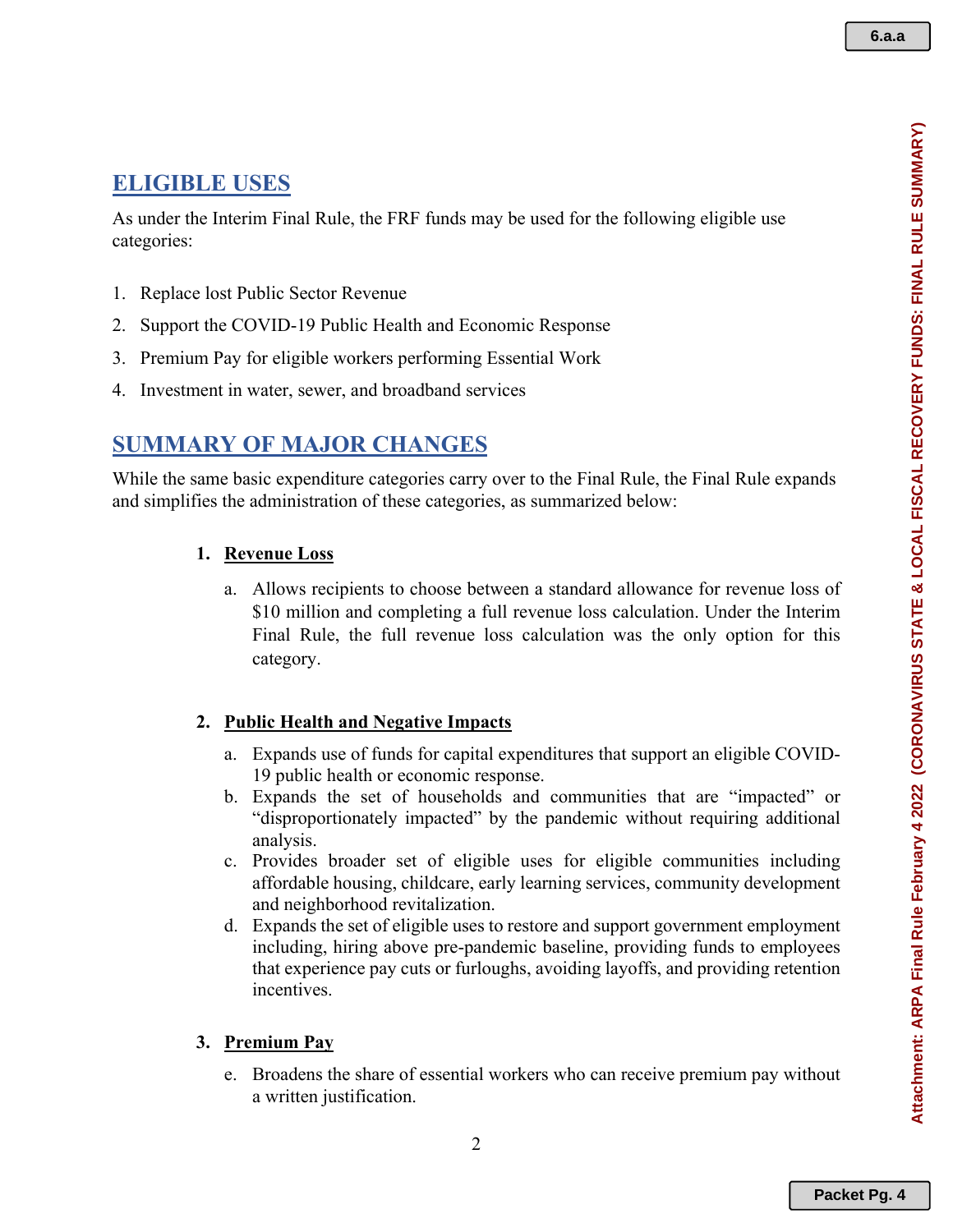# **ELIGIBLE USES**

As under the Interim Final Rule, the FRF funds may be used for the following eligible use categories:

- 1. Replace lost Public Sector Revenue
- 2. Support the COVID-19 Public Health and Economic Response
- 3. Premium Pay for eligible workers performing Essential Work
- 4. Investment in water, sewer, and broadband services

# **SUMMARY OF MAJOR CHANGES**

While the same basic expenditure categories carry over to the Final Rule, the Final Rule expands and simplifies the administration of these categories, as summarized below:

## **1. Revenue Loss**

a. Allows recipients to choose between a standard allowance for revenue loss of \$10 million and completing a full revenue loss calculation. Under the Interim Final Rule, the full revenue loss calculation was the only option for this category.

## **2. Public Health and Negative Impacts**

- a. Expands use of funds for capital expenditures that support an eligible COVID-19 public health or economic response.
- b. Expands the set of households and communities that are "impacted" or "disproportionately impacted" by the pandemic without requiring additional analysis.
- c. Provides broader set of eligible uses for eligible communities including affordable housing, childcare, early learning services, community development and neighborhood revitalization.
- d. Expands the set of eligible uses to restore and support government employment including, hiring above pre-pandemic baseline, providing funds to employees that experience pay cuts or furloughs, avoiding layoffs, and providing retention incentives.

## **3. Premium Pay**

e. Broadens the share of essential workers who can receive premium pay without a written justification.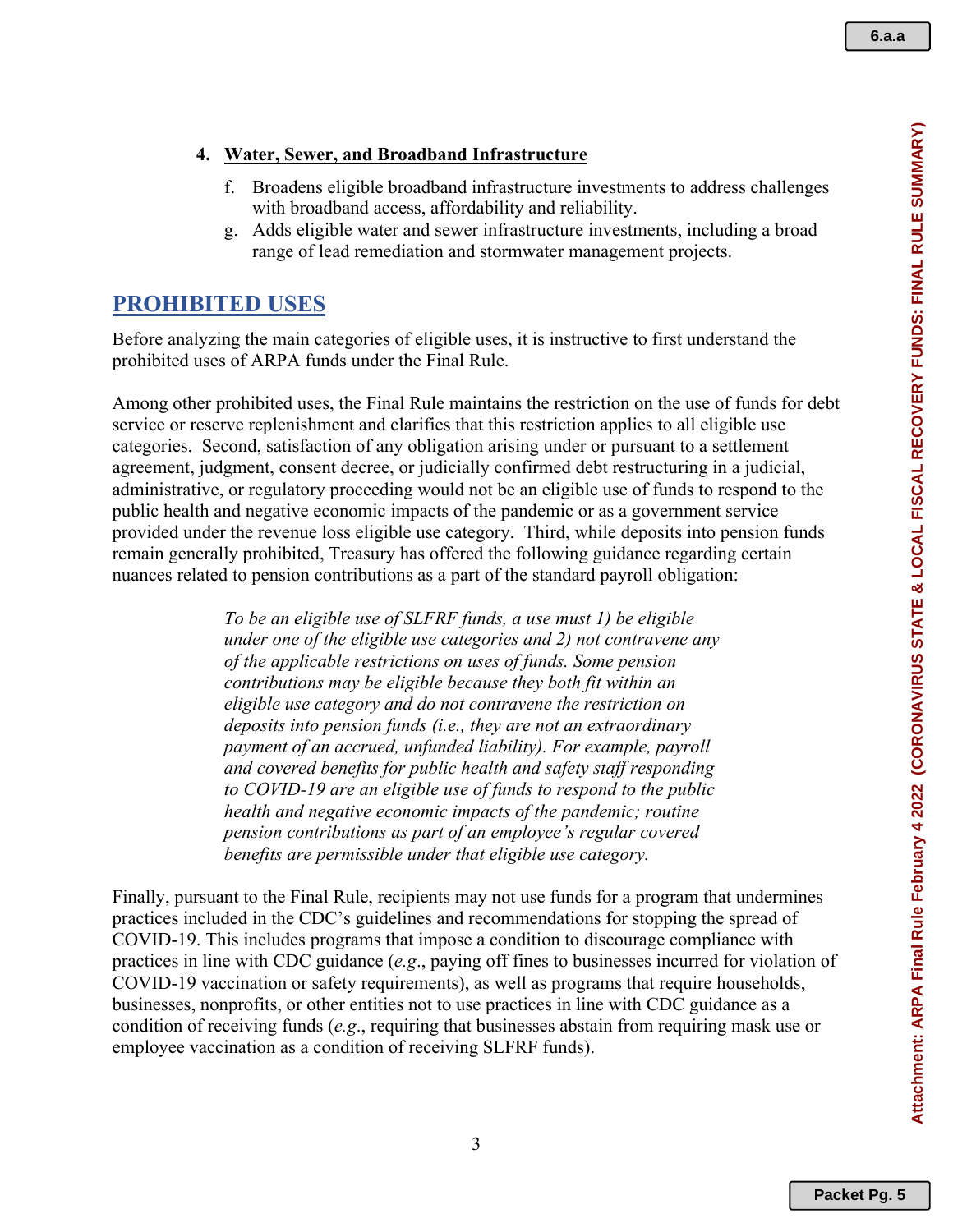#### **4. Water, Sewer, and Broadband Infrastructure**

- f. Broadens eligible broadband infrastructure investments to address challenges with broadband access, affordability and reliability.
- g. Adds eligible water and sewer infrastructure investments, including a broad range of lead remediation and stormwater management projects.

### **PROHIBITED USES**

Before analyzing the main categories of eligible uses, it is instructive to first understand the prohibited uses of ARPA funds under the Final Rule.

Among other prohibited uses, the Final Rule maintains the restriction on the use of funds for debt service or reserve replenishment and clarifies that this restriction applies to all eligible use categories. Second, satisfaction of any obligation arising under or pursuant to a settlement agreement, judgment, consent decree, or judicially confirmed debt restructuring in a judicial, administrative, or regulatory proceeding would not be an eligible use of funds to respond to the public health and negative economic impacts of the pandemic or as a government service provided under the revenue loss eligible use category. Third, while deposits into pension funds remain generally prohibited, Treasury has offered the following guidance regarding certain nuances related to pension contributions as a part of the standard payroll obligation:

> *To be an eligible use of SLFRF funds, a use must 1) be eligible under one of the eligible use categories and 2) not contravene any of the applicable restrictions on uses of funds. Some pension contributions may be eligible because they both fit within an eligible use category and do not contravene the restriction on deposits into pension funds (i.e., they are not an extraordinary payment of an accrued, unfunded liability). For example, payroll and covered benefits for public health and safety staff responding to COVID-19 are an eligible use of funds to respond to the public health and negative economic impacts of the pandemic; routine pension contributions as part of an employee's regular covered benefits are permissible under that eligible use category.*

Finally, pursuant to the Final Rule, recipients may not use funds for a program that undermines practices included in the CDC's guidelines and recommendations for stopping the spread of COVID-19. This includes programs that impose a condition to discourage compliance with practices in line with CDC guidance (*e.g*., paying off fines to businesses incurred for violation of COVID-19 vaccination or safety requirements), as well as programs that require households, businesses, nonprofits, or other entities not to use practices in line with CDC guidance as a condition of receiving funds (*e.g*., requiring that businesses abstain from requiring mask use or employee vaccination as a condition of receiving SLFRF funds).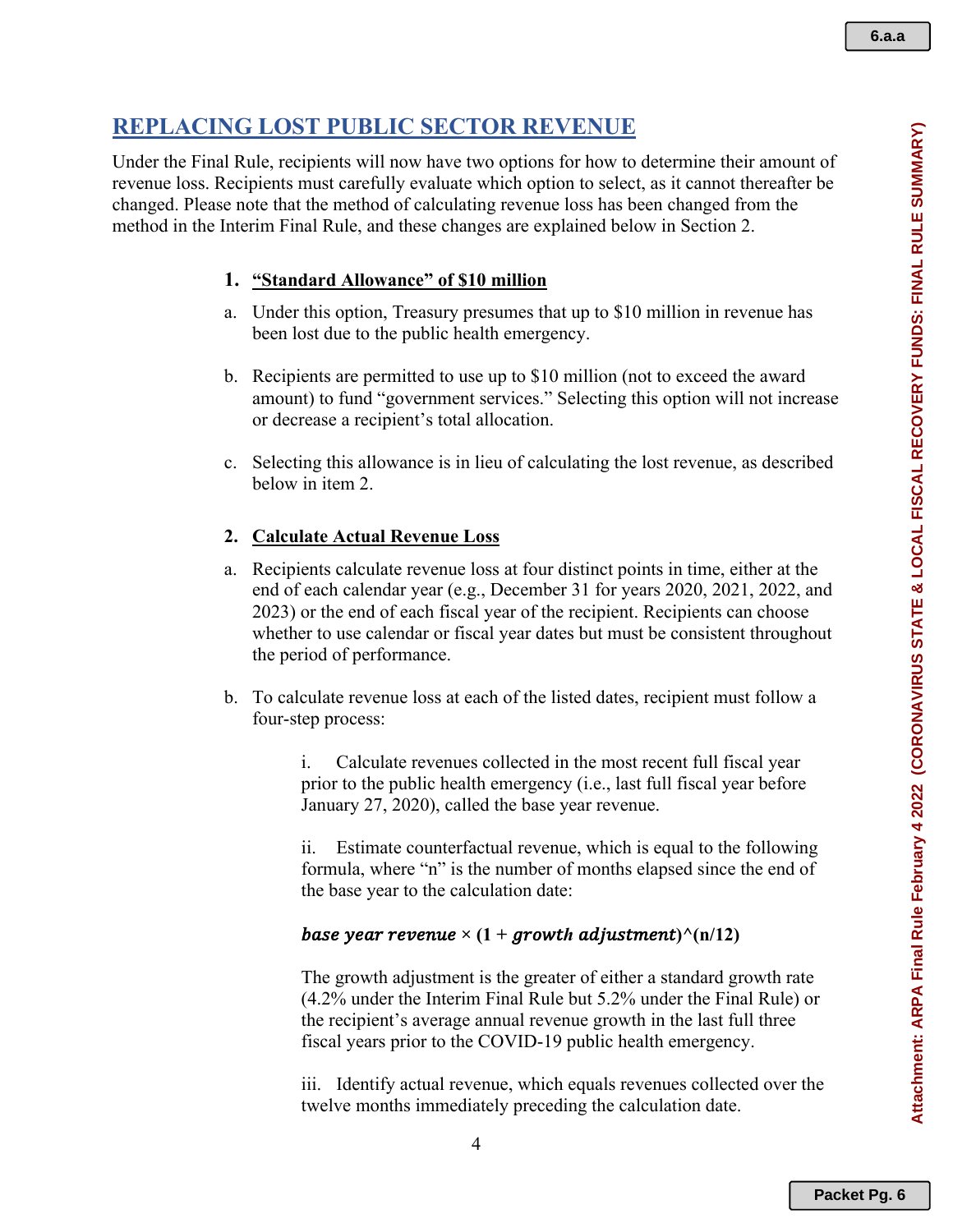# **REPLACING LOST PUBLIC SECTOR REVENUE**

Under the Final Rule, recipients will now have two options for how to determine their amount of revenue loss. Recipients must carefully evaluate which option to select, as it cannot thereafter be changed. Please note that the method of calculating revenue loss has been changed from the method in the Interim Final Rule, and these changes are explained below in Section 2.

## **1. "Standard Allowance" of \$10 million**

- a. Under this option, Treasury presumes that up to \$10 million in revenue has been lost due to the public health emergency.
- b. Recipients are permitted to use up to \$10 million (not to exceed the award amount) to fund "government services." Selecting this option will not increase or decrease a recipient's total allocation.
- c. Selecting this allowance is in lieu of calculating the lost revenue, as described below in item 2.

## **2. Calculate Actual Revenue Loss**

- a. Recipients calculate revenue loss at four distinct points in time, either at the end of each calendar year (e.g., December 31 for years 2020, 2021, 2022, and 2023) or the end of each fiscal year of the recipient. Recipients can choose whether to use calendar or fiscal year dates but must be consistent throughout the period of performance.
- b. To calculate revenue loss at each of the listed dates, recipient must follow a four-step process:

i. Calculate revenues collected in the most recent full fiscal year prior to the public health emergency (i.e., last full fiscal year before January 27, 2020), called the base year revenue.

ii. Estimate counterfactual revenue, which is equal to the following formula, where "n" is the number of months elapsed since the end of the base year to the calculation date:

## *base year revenue*  $\times$  (1 + *growth adjustment*) $\wedge$ (n/12)

The growth adjustment is the greater of either a standard growth rate (4.2% under the Interim Final Rule but 5.2% under the Final Rule) or the recipient's average annual revenue growth in the last full three fiscal years prior to the COVID-19 public health emergency.

iii. Identify actual revenue, which equals revenues collected over the twelve months immediately preceding the calculation date.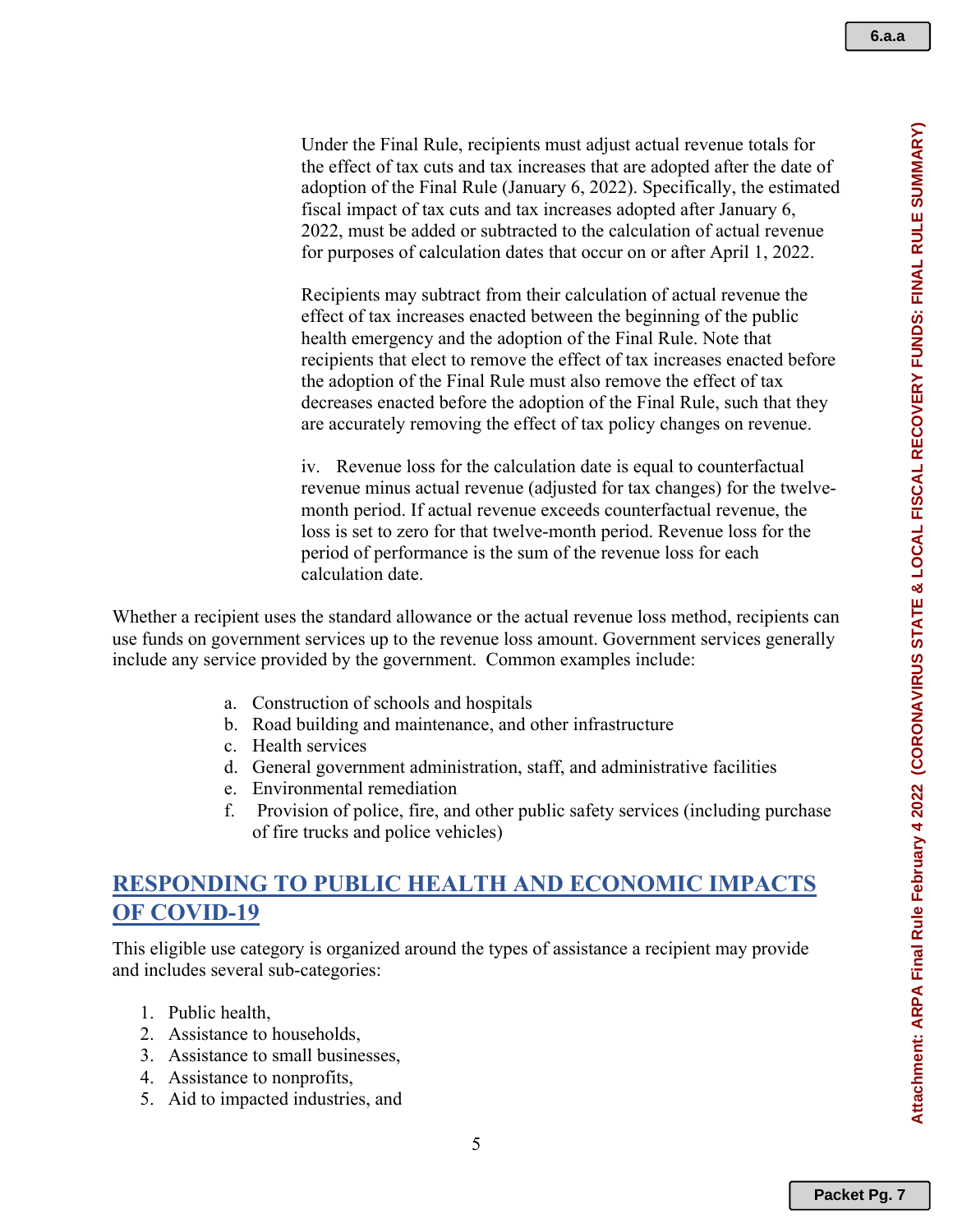**6.a.a**

Under the Final Rule, recipients must adjust actual revenue totals for the effect of tax cuts and tax increases that are adopted after the date of adoption of the Final Rule (January 6, 2022). Specifically, the estimated fiscal impact of tax cuts and tax increases adopted after January 6, 2022, must be added or subtracted to the calculation of actual revenue for purposes of calculation dates that occur on or after April 1, 2022.

Recipients may subtract from their calculation of actual revenue the effect of tax increases enacted between the beginning of the public health emergency and the adoption of the Final Rule. Note that recipients that elect to remove the effect of tax increases enacted before the adoption of the Final Rule must also remove the effect of tax decreases enacted before the adoption of the Final Rule, such that they are accurately removing the effect of tax policy changes on revenue.

iv. Revenue loss for the calculation date is equal to counterfactual revenue minus actual revenue (adjusted for tax changes) for the twelvemonth period. If actual revenue exceeds counterfactual revenue, the loss is set to zero for that twelve-month period. Revenue loss for the period of performance is the sum of the revenue loss for each calculation date.

Whether a recipient uses the standard allowance or the actual revenue loss method, recipients can use funds on government services up to the revenue loss amount. Government services generally include any service provided by the government. Common examples include:

- a. Construction of schools and hospitals
- b. Road building and maintenance, and other infrastructure
- c. Health services
- d. General government administration, staff, and administrative facilities
- e. Environmental remediation
- f. Provision of police, fire, and other public safety services (including purchase of fire trucks and police vehicles)

# **RESPONDING TO PUBLIC HEALTH AND ECONOMIC IMPACTS OF COVID-19**

This eligible use category is organized around the types of assistance a recipient may provide and includes several sub-categories:

- 1. Public health,
- 2. Assistance to households,
- 3. Assistance to small businesses,
- 4. Assistance to nonprofits,
- 5. Aid to impacted industries, and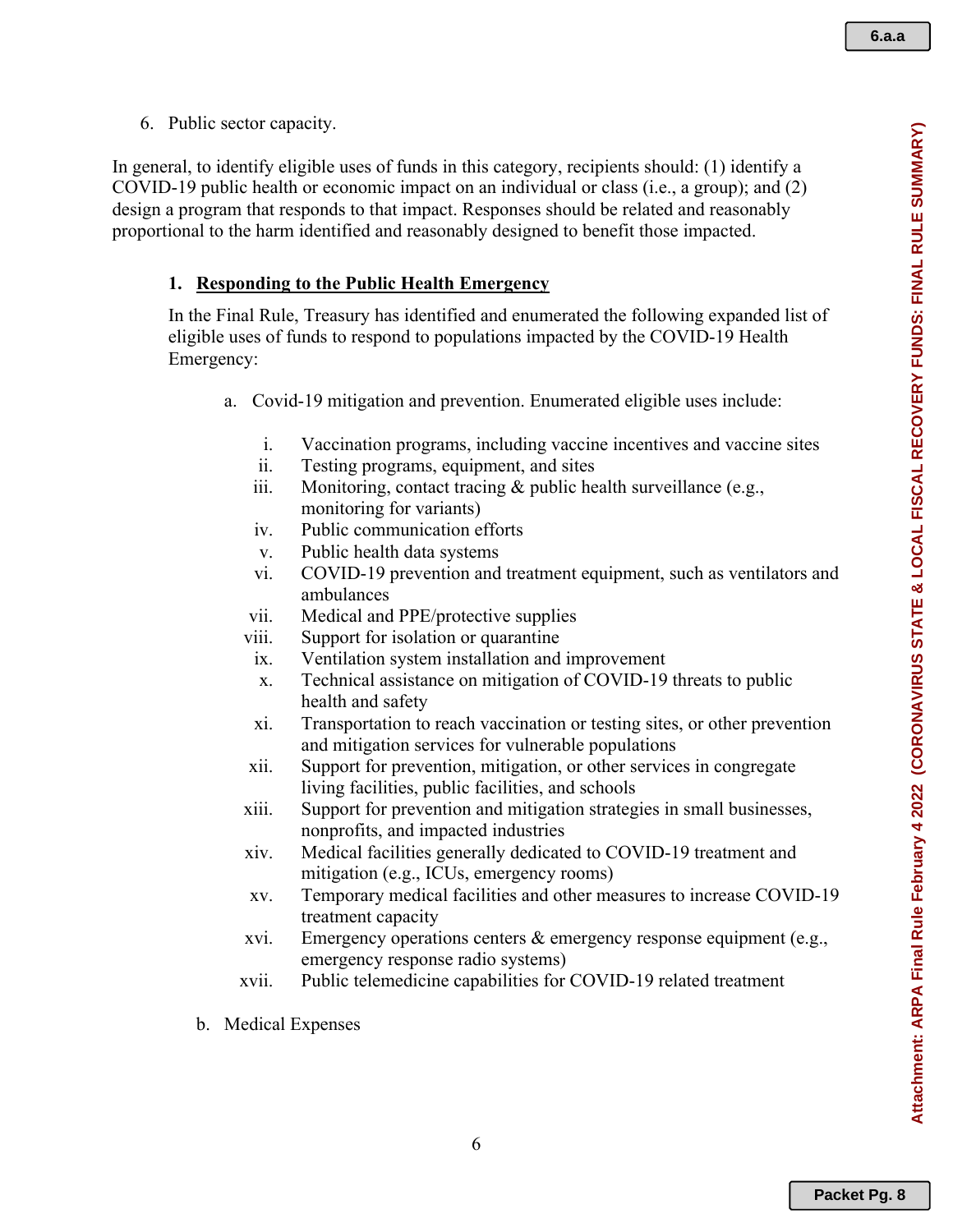6. Public sector capacity.

In general, to identify eligible uses of funds in this category, recipients should: (1) identify a COVID-19 public health or economic impact on an individual or class (i.e., a group); and (2) design a program that responds to that impact. Responses should be related and reasonably proportional to the harm identified and reasonably designed to benefit those impacted.

#### **1. Responding to the Public Health Emergency**

In the Final Rule, Treasury has identified and enumerated the following expanded list of eligible uses of funds to respond to populations impacted by the COVID-19 Health Emergency:

- a. Covid-19 mitigation and prevention. Enumerated eligible uses include:
	- i. Vaccination programs, including vaccine incentives and vaccine sites
	- ii. Testing programs, equipment, and sites
	- iii. Monitoring, contact tracing & public health surveillance (e.g., monitoring for variants)
	- iv. Public communication efforts
	- v. Public health data systems
	- vi. COVID-19 prevention and treatment equipment, such as ventilators and ambulances
	- vii. Medical and PPE/protective supplies
	- viii. Support for isolation or quarantine
	- ix. Ventilation system installation and improvement
	- x. Technical assistance on mitigation of COVID-19 threats to public health and safety
	- xi. Transportation to reach vaccination or testing sites, or other prevention and mitigation services for vulnerable populations
	- xii. Support for prevention, mitigation, or other services in congregate living facilities, public facilities, and schools
	- xiii. Support for prevention and mitigation strategies in small businesses, nonprofits, and impacted industries
	- xiv. Medical facilities generally dedicated to COVID-19 treatment and mitigation (e.g., ICUs, emergency rooms)
	- xv. Temporary medical facilities and other measures to increase COVID-19 treatment capacity
	- xvi. Emergency operations centers & emergency response equipment (e.g., emergency response radio systems)
	- xvii. Public telemedicine capabilities for COVID-19 related treatment
- b. Medical Expenses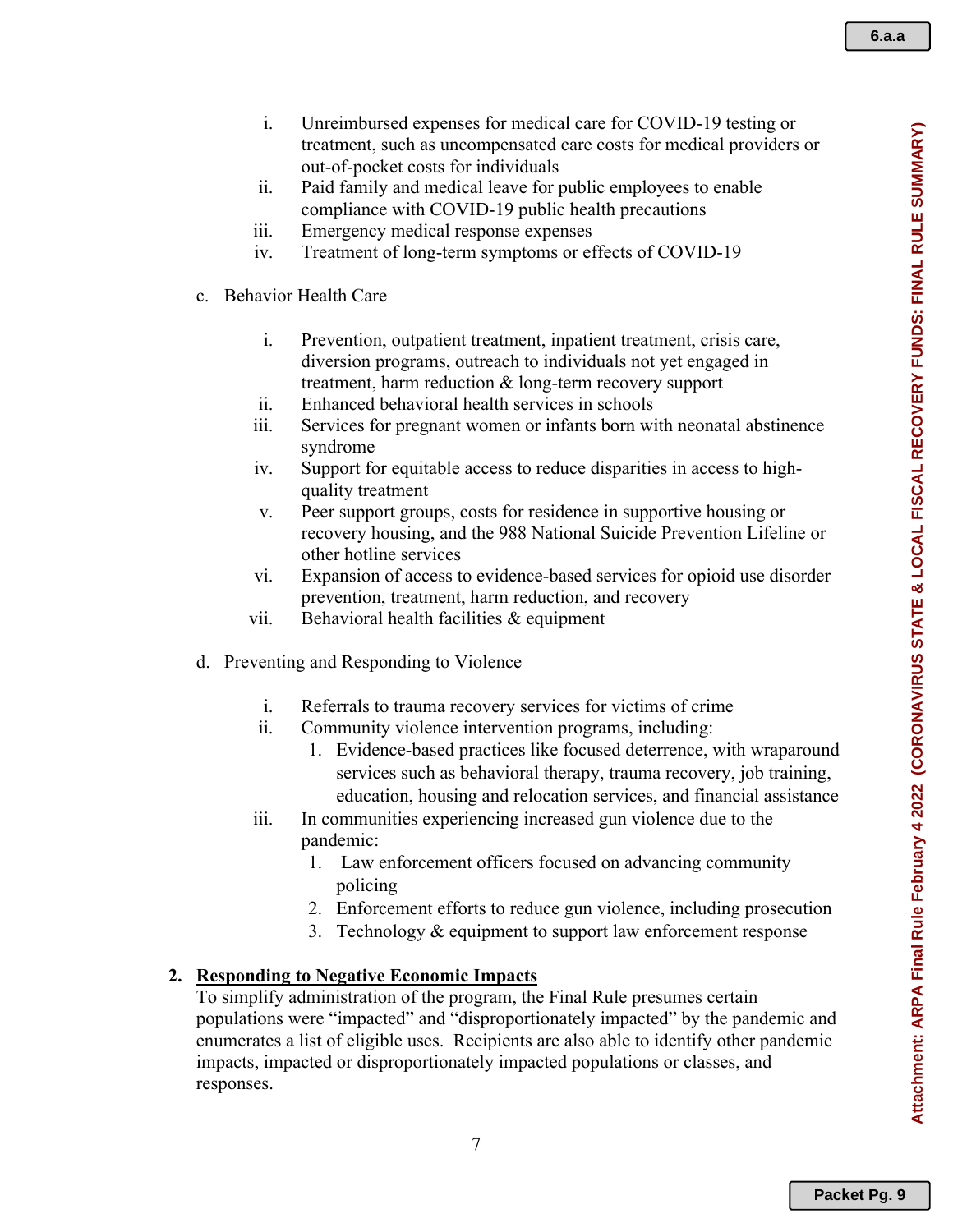- i. Unreimbursed expenses for medical care for COVID-19 testing or treatment, such as uncompensated care costs for medical providers or out-of-pocket costs for individuals
- ii. Paid family and medical leave for public employees to enable compliance with COVID-19 public health precautions
- iii. Emergency medical response expenses
- iv. Treatment of long-term symptoms or effects of COVID-19
- c. Behavior Health Care
	- i. Prevention, outpatient treatment, inpatient treatment, crisis care, diversion programs, outreach to individuals not yet engaged in treatment, harm reduction & long-term recovery support
	- ii. Enhanced behavioral health services in schools
	- iii. Services for pregnant women or infants born with neonatal abstinence syndrome
	- iv. Support for equitable access to reduce disparities in access to highquality treatment
	- v. Peer support groups, costs for residence in supportive housing or recovery housing, and the 988 National Suicide Prevention Lifeline or other hotline services
	- vi. Expansion of access to evidence-based services for opioid use disorder prevention, treatment, harm reduction, and recovery
	- vii. Behavioral health facilities  $\&$  equipment
- d. Preventing and Responding to Violence
	- i. Referrals to trauma recovery services for victims of crime
	- ii. Community violence intervention programs, including:
		- 1. Evidence-based practices like focused deterrence, with wraparound services such as behavioral therapy, trauma recovery, job training, education, housing and relocation services, and financial assistance
	- iii. In communities experiencing increased gun violence due to the pandemic:
		- 1. Law enforcement officers focused on advancing community policing
		- 2. Enforcement efforts to reduce gun violence, including prosecution
		- 3. Technology & equipment to support law enforcement response

## **2. Responding to Negative Economic Impacts**

To simplify administration of the program, the Final Rule presumes certain populations were "impacted" and "disproportionately impacted" by the pandemic and enumerates a list of eligible uses. Recipients are also able to identify other pandemic impacts, impacted or disproportionately impacted populations or classes, and responses.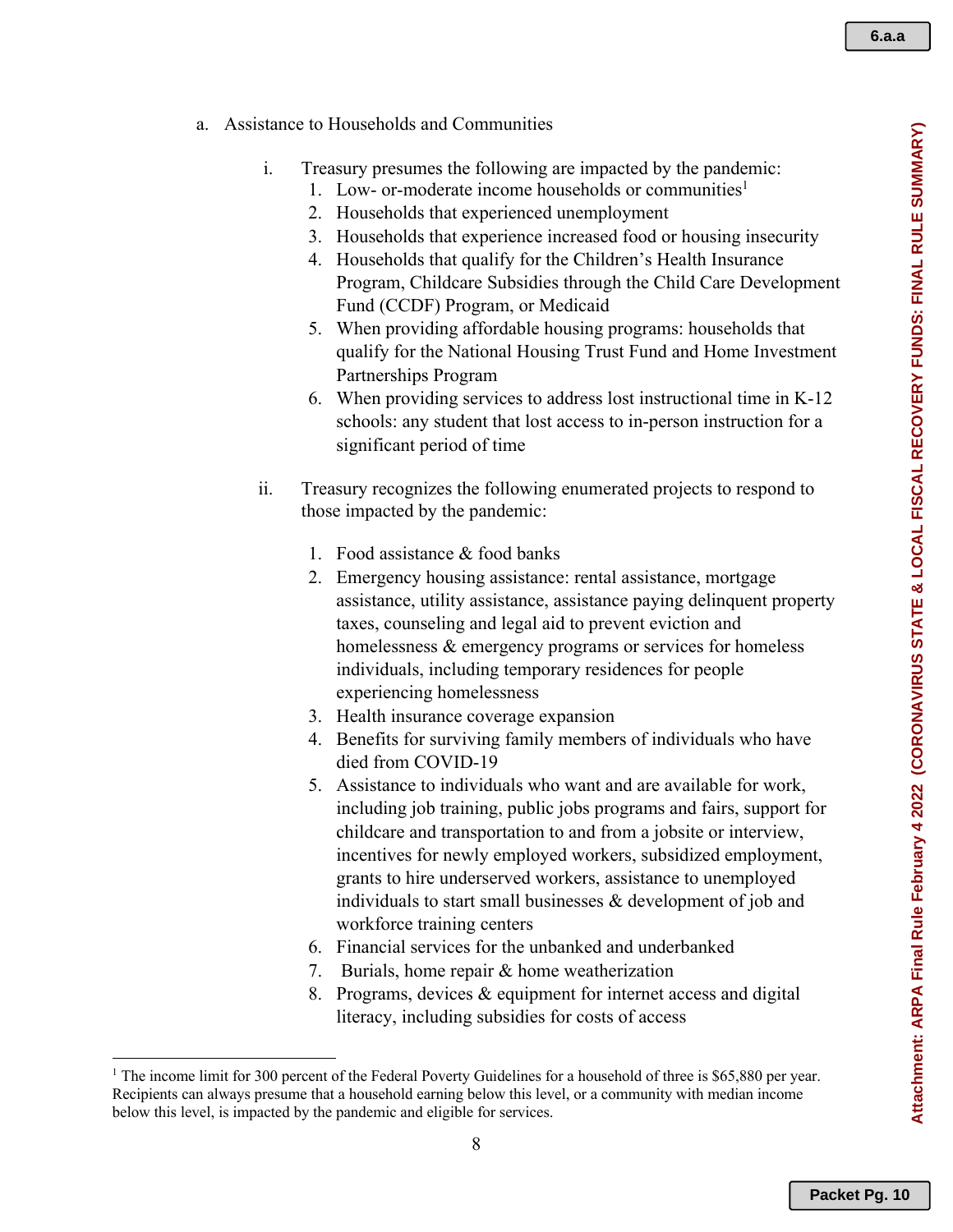- a. Assistance to Households and Communities
	- i. Treasury presumes the following are impacted by the pandemic:
		- 1. Low- or-moderate income households or communities<sup>1</sup>
		- 2. Households that experienced unemployment
		- 3. Households that experience increased food or housing insecurity
		- 4. Households that qualify for the Children's Health Insurance Program, Childcare Subsidies through the Child Care Development Fund (CCDF) Program, or Medicaid
		- 5. When providing affordable housing programs: households that qualify for the National Housing Trust Fund and Home Investment Partnerships Program
		- 6. When providing services to address lost instructional time in K-12 schools: any student that lost access to in-person instruction for a significant period of time
	- ii. Treasury recognizes the following enumerated projects to respond to those impacted by the pandemic:
		- 1. Food assistance & food banks
		- 2. Emergency housing assistance: rental assistance, mortgage assistance, utility assistance, assistance paying delinquent property taxes, counseling and legal aid to prevent eviction and homelessness & emergency programs or services for homeless individuals, including temporary residences for people experiencing homelessness
		- 3. Health insurance coverage expansion
		- 4. Benefits for surviving family members of individuals who have died from COVID-19
		- 5. Assistance to individuals who want and are available for work, including job training, public jobs programs and fairs, support for childcare and transportation to and from a jobsite or interview, incentives for newly employed workers, subsidized employment, grants to hire underserved workers, assistance to unemployed individuals to start small businesses  $\&$  development of job and workforce training centers
		- 6. Financial services for the unbanked and underbanked
		- 7. Burials, home repair & home weatherization
		- 8. Programs, devices & equipment for internet access and digital literacy, including subsidies for costs of access

<sup>&</sup>lt;sup>1</sup> The income limit for 300 percent of the Federal Poverty Guidelines for a household of three is \$65,880 per year. Recipients can always presume that a household earning below this level, or a community with median income below this level, is impacted by the pandemic and eligible for services.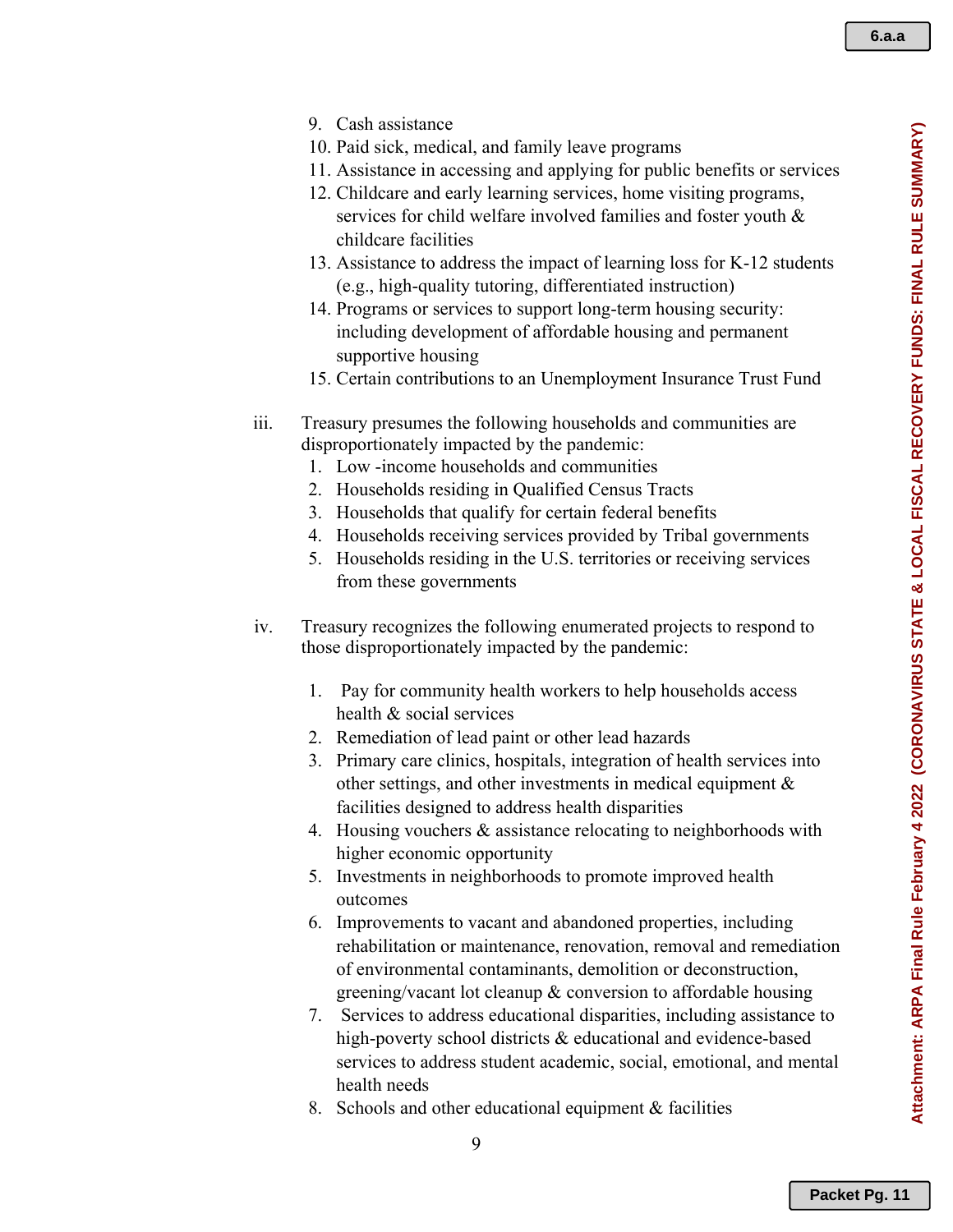- 9. Cash assistance
- 10. Paid sick, medical, and family leave programs
- 11. Assistance in accessing and applying for public benefits or services
- 12. Childcare and early learning services, home visiting programs, services for child welfare involved families and foster youth & childcare facilities
- 13. Assistance to address the impact of learning loss for K-12 students (e.g., high-quality tutoring, differentiated instruction)
- 14. Programs or services to support long-term housing security: including development of affordable housing and permanent supportive housing
- 15. Certain contributions to an Unemployment Insurance Trust Fund
- iii. Treasury presumes the following households and communities are disproportionately impacted by the pandemic:
	- 1. Low -income households and communities
	- 2. Households residing in Qualified Census Tracts
	- 3. Households that qualify for certain federal benefits
	- 4. Households receiving services provided by Tribal governments
	- 5. Households residing in the U.S. territories or receiving services from these governments
- iv. Treasury recognizes the following enumerated projects to respond to those disproportionately impacted by the pandemic:
	- 1. Pay for community health workers to help households access health & social services
	- 2. Remediation of lead paint or other lead hazards
	- 3. Primary care clinics, hospitals, integration of health services into other settings, and other investments in medical equipment & facilities designed to address health disparities
	- 4. Housing vouchers & assistance relocating to neighborhoods with higher economic opportunity
	- 5. Investments in neighborhoods to promote improved health outcomes
	- 6. Improvements to vacant and abandoned properties, including rehabilitation or maintenance, renovation, removal and remediation of environmental contaminants, demolition or deconstruction, greening/vacant lot cleanup & conversion to affordable housing
	- 7. Services to address educational disparities, including assistance to high-poverty school districts & educational and evidence-based services to address student academic, social, emotional, and mental health needs
	- 8. Schools and other educational equipment & facilities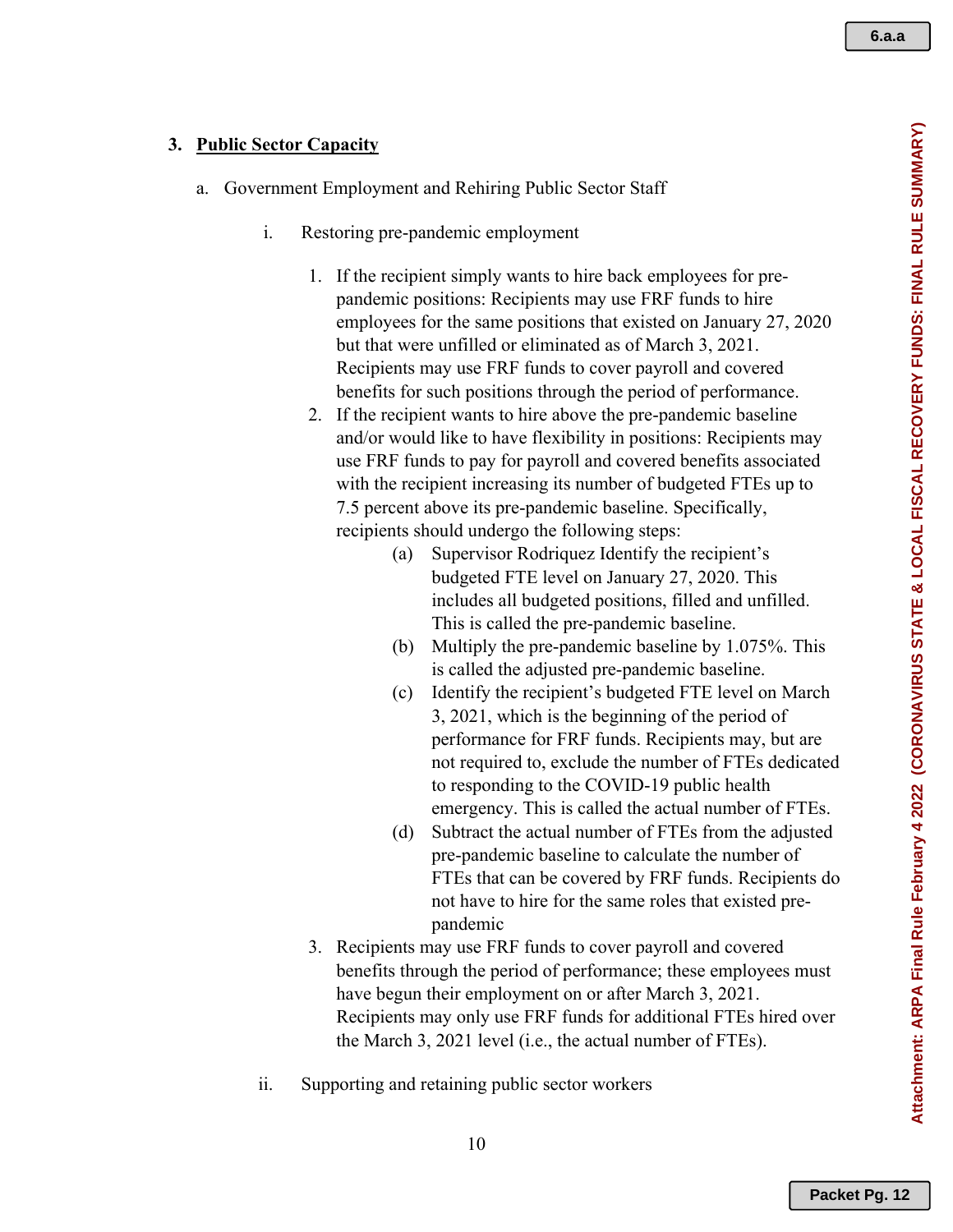#### **3. Public Sector Capacity**

- a. Government Employment and Rehiring Public Sector Staff
	- i. Restoring pre-pandemic employment
		- 1. If the recipient simply wants to hire back employees for prepandemic positions: Recipients may use FRF funds to hire employees for the same positions that existed on January 27, 2020 but that were unfilled or eliminated as of March 3, 2021. Recipients may use FRF funds to cover payroll and covered benefits for such positions through the period of performance.
		- 2. If the recipient wants to hire above the pre-pandemic baseline and/or would like to have flexibility in positions: Recipients may use FRF funds to pay for payroll and covered benefits associated with the recipient increasing its number of budgeted FTEs up to 7.5 percent above its pre-pandemic baseline. Specifically, recipients should undergo the following steps:
			- (a) Supervisor Rodriquez Identify the recipient's budgeted FTE level on January 27, 2020. This includes all budgeted positions, filled and unfilled. This is called the pre-pandemic baseline.
			- (b) Multiply the pre-pandemic baseline by 1.075%. This is called the adjusted pre-pandemic baseline.
			- (c) Identify the recipient's budgeted FTE level on March 3, 2021, which is the beginning of the period of performance for FRF funds. Recipients may, but are not required to, exclude the number of FTEs dedicated to responding to the COVID-19 public health emergency. This is called the actual number of FTEs.
			- (d) Subtract the actual number of FTEs from the adjusted pre-pandemic baseline to calculate the number of FTEs that can be covered by FRF funds. Recipients do not have to hire for the same roles that existed prepandemic
		- 3. Recipients may use FRF funds to cover payroll and covered benefits through the period of performance; these employees must have begun their employment on or after March 3, 2021. Recipients may only use FRF funds for additional FTEs hired over the March 3, 2021 level (i.e., the actual number of FTEs).
	- ii. Supporting and retaining public sector workers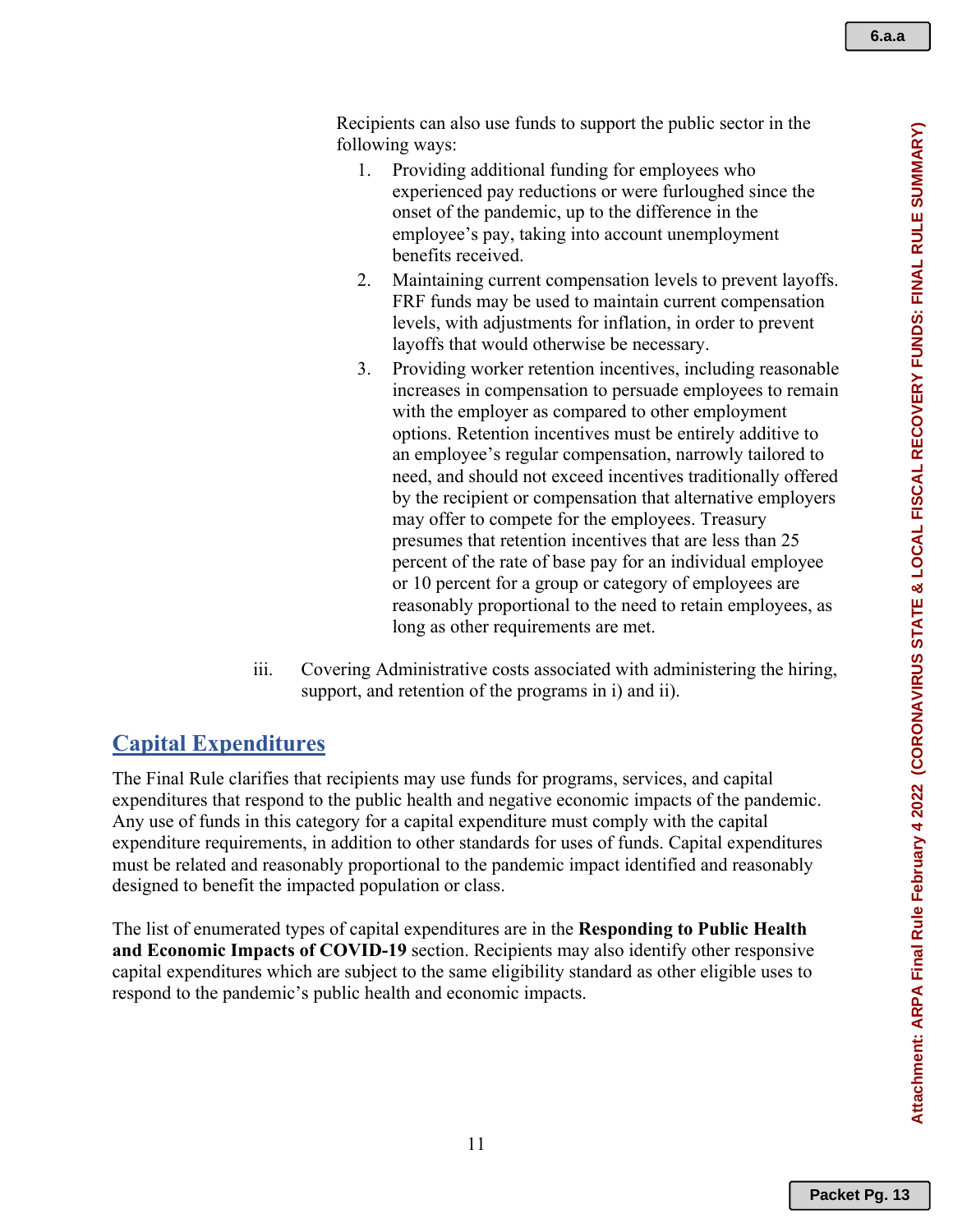Recipients can also use funds to support the public sector in the following ways:

- 1. Providing additional funding for employees who experienced pay reductions or were furloughed since the onset of the pandemic, up to the difference in the employee's pay, taking into account unemployment benefits received.
- 2. Maintaining current compensation levels to prevent layoffs. FRF funds may be used to maintain current compensation levels, with adjustments for inflation, in order to prevent layoffs that would otherwise be necessary.
- 3. Providing worker retention incentives, including reasonable increases in compensation to persuade employees to remain with the employer as compared to other employment options. Retention incentives must be entirely additive to an employee's regular compensation, narrowly tailored to need, and should not exceed incentives traditionally offered by the recipient or compensation that alternative employers may offer to compete for the employees. Treasury presumes that retention incentives that are less than 25 percent of the rate of base pay for an individual employee or 10 percent for a group or category of employees are reasonably proportional to the need to retain employees, as long as other requirements are met.
- iii. Covering Administrative costs associated with administering the hiring, support, and retention of the programs in i) and ii).

## **Capital Expenditures**

The Final Rule clarifies that recipients may use funds for programs, services, and capital expenditures that respond to the public health and negative economic impacts of the pandemic. Any use of funds in this category for a capital expenditure must comply with the capital expenditure requirements, in addition to other standards for uses of funds. Capital expenditures must be related and reasonably proportional to the pandemic impact identified and reasonably designed to benefit the impacted population or class.

The list of enumerated types of capital expenditures are in the **Responding to Public Health and Economic Impacts of COVID-19** section. Recipients may also identify other responsive capital expenditures which are subject to the same eligibility standard as other eligible uses to respond to the pandemic's public health and economic impacts.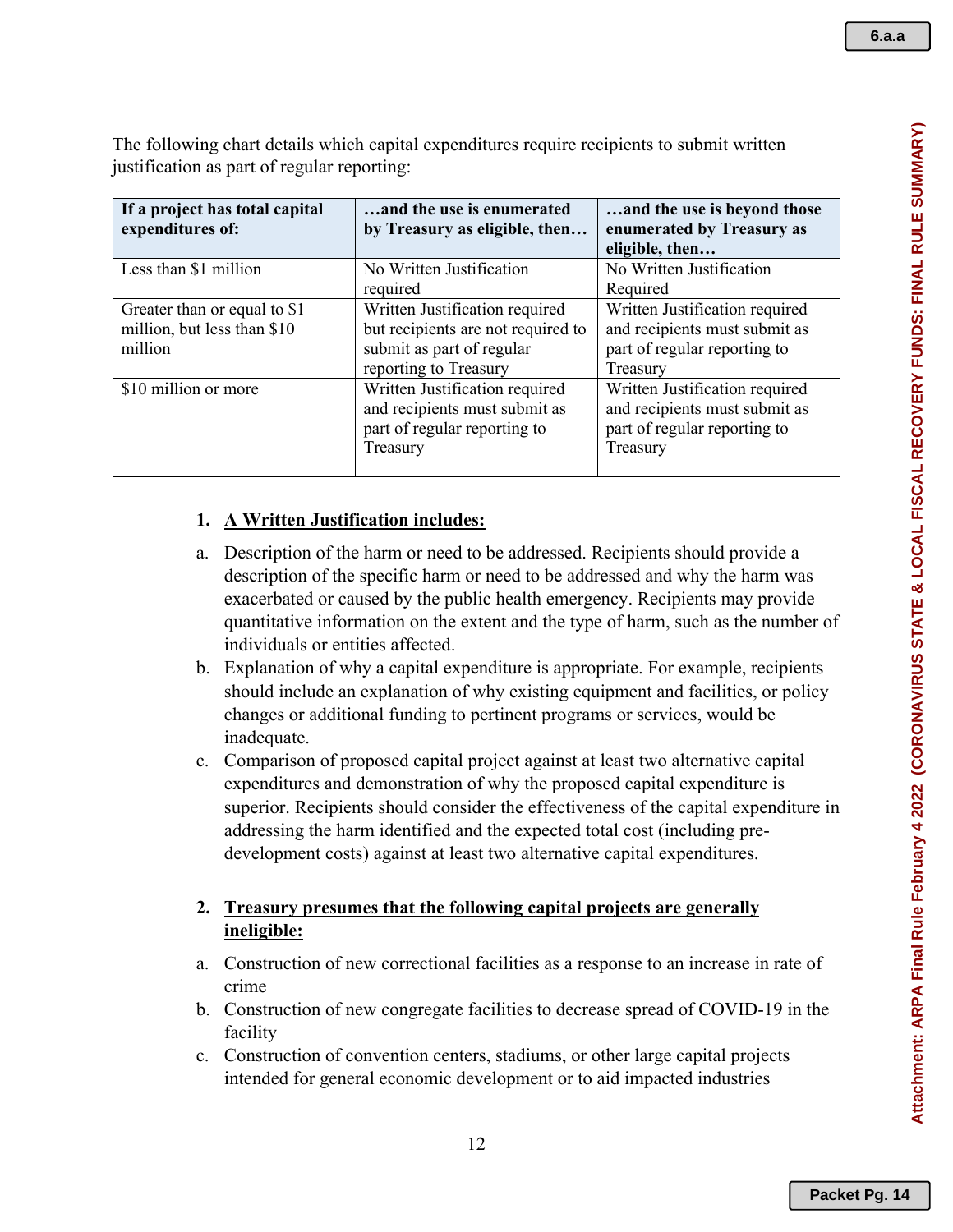| a.a |
|-----|
|     |

The following chart details which capital expenditures require recipients to submit written justification as part of regular reporting:

| If a project has total capital<br>expenditures of:                     | and the use is enumerated<br>by Treasury as eligible, then                                                                 | and the use is beyond those<br>enumerated by Treasury as<br>eligible, then                                  |
|------------------------------------------------------------------------|----------------------------------------------------------------------------------------------------------------------------|-------------------------------------------------------------------------------------------------------------|
| Less than \$1 million                                                  | No Written Justification<br>required                                                                                       | No Written Justification<br>Required                                                                        |
| Greater than or equal to \$1<br>million, but less than \$10<br>million | Written Justification required<br>but recipients are not required to<br>submit as part of regular<br>reporting to Treasury | Written Justification required<br>and recipients must submit as<br>part of regular reporting to<br>Treasury |
| \$10 million or more                                                   | Written Justification required<br>and recipients must submit as<br>part of regular reporting to<br>Treasury                | Written Justification required<br>and recipients must submit as<br>part of regular reporting to<br>Treasury |

### **1. A Written Justification includes:**

- a. Description of the harm or need to be addressed. Recipients should provide a description of the specific harm or need to be addressed and why the harm was exacerbated or caused by the public health emergency. Recipients may provide quantitative information on the extent and the type of harm, such as the number of individuals or entities affected.
- b. Explanation of why a capital expenditure is appropriate. For example, recipients should include an explanation of why existing equipment and facilities, or policy changes or additional funding to pertinent programs or services, would be inadequate.
- c. Comparison of proposed capital project against at least two alternative capital expenditures and demonstration of why the proposed capital expenditure is superior. Recipients should consider the effectiveness of the capital expenditure in addressing the harm identified and the expected total cost (including predevelopment costs) against at least two alternative capital expenditures.

### **2. Treasury presumes that the following capital projects are generally ineligible:**

- a. Construction of new correctional facilities as a response to an increase in rate of crime
- b. Construction of new congregate facilities to decrease spread of COVID-19 in the facility
- c. Construction of convention centers, stadiums, or other large capital projects intended for general economic development or to aid impacted industries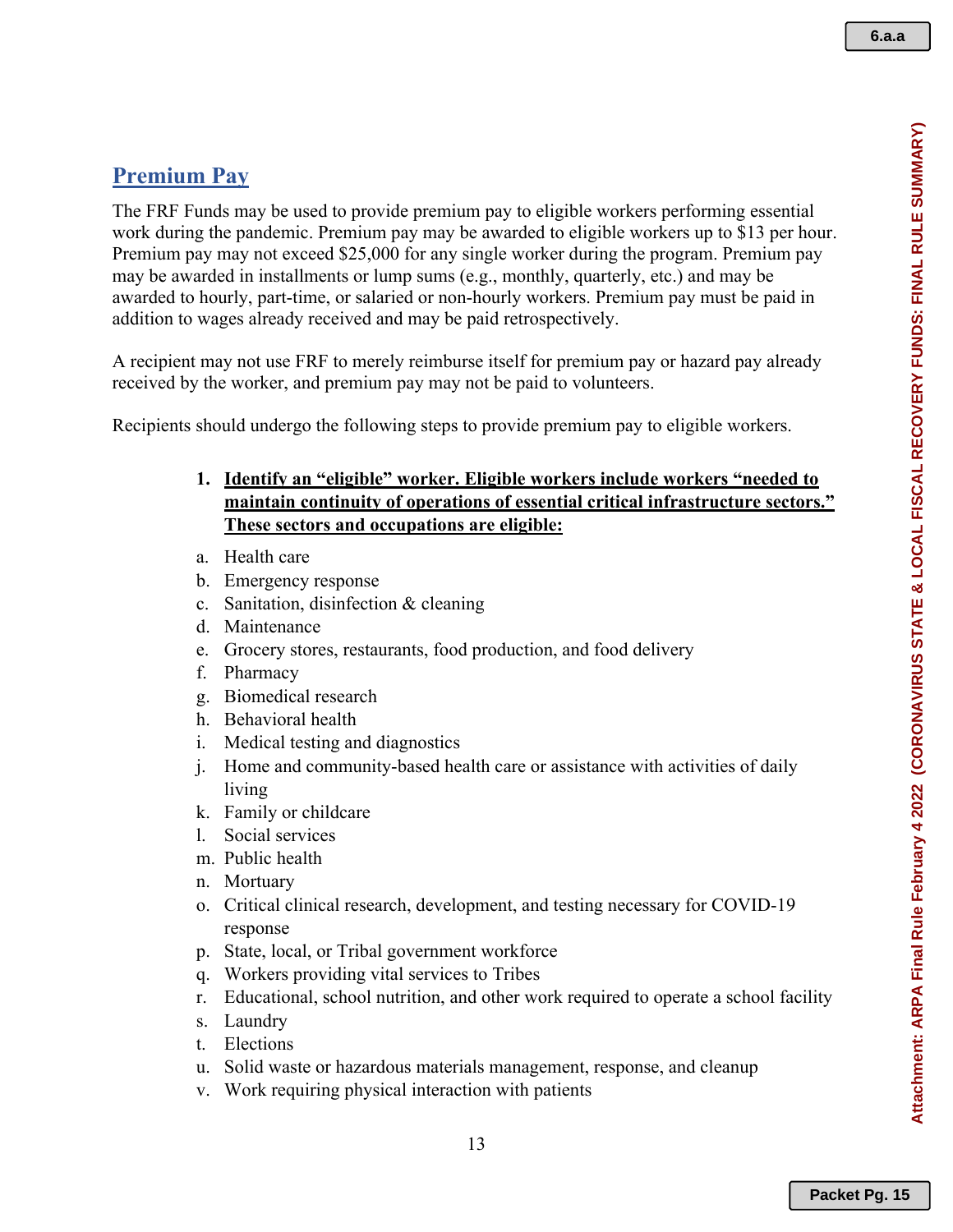## **Premium Pay**

The FRF Funds may be used to provide premium pay to eligible workers performing essential work during the pandemic. Premium pay may be awarded to eligible workers up to \$13 per hour. Premium pay may not exceed \$25,000 for any single worker during the program. Premium pay may be awarded in installments or lump sums (e.g., monthly, quarterly, etc.) and may be awarded to hourly, part-time, or salaried or non-hourly workers. Premium pay must be paid in addition to wages already received and may be paid retrospectively.

A recipient may not use FRF to merely reimburse itself for premium pay or hazard pay already received by the worker, and premium pay may not be paid to volunteers.

Recipients should undergo the following steps to provide premium pay to eligible workers.

- **1. Identify an "eligible" worker. Eligible workers include workers "needed to maintain continuity of operations of essential critical infrastructure sectors." These sectors and occupations are eligible:**
- a. Health care
- b. Emergency response
- c. Sanitation, disinfection & cleaning
- d. Maintenance
- e. Grocery stores, restaurants, food production, and food delivery
- f. Pharmacy
- g. Biomedical research
- h. Behavioral health
- i. Medical testing and diagnostics
- j. Home and community-based health care or assistance with activities of daily living
- k. Family or childcare
- l. Social services
- m. Public health
- n. Mortuary
- o. Critical clinical research, development, and testing necessary for COVID-19 response
- p. State, local, or Tribal government workforce
- q. Workers providing vital services to Tribes
- r. Educational, school nutrition, and other work required to operate a school facility
- s. Laundry
- t. Elections
- u. Solid waste or hazardous materials management, response, and cleanup
- v. Work requiring physical interaction with patients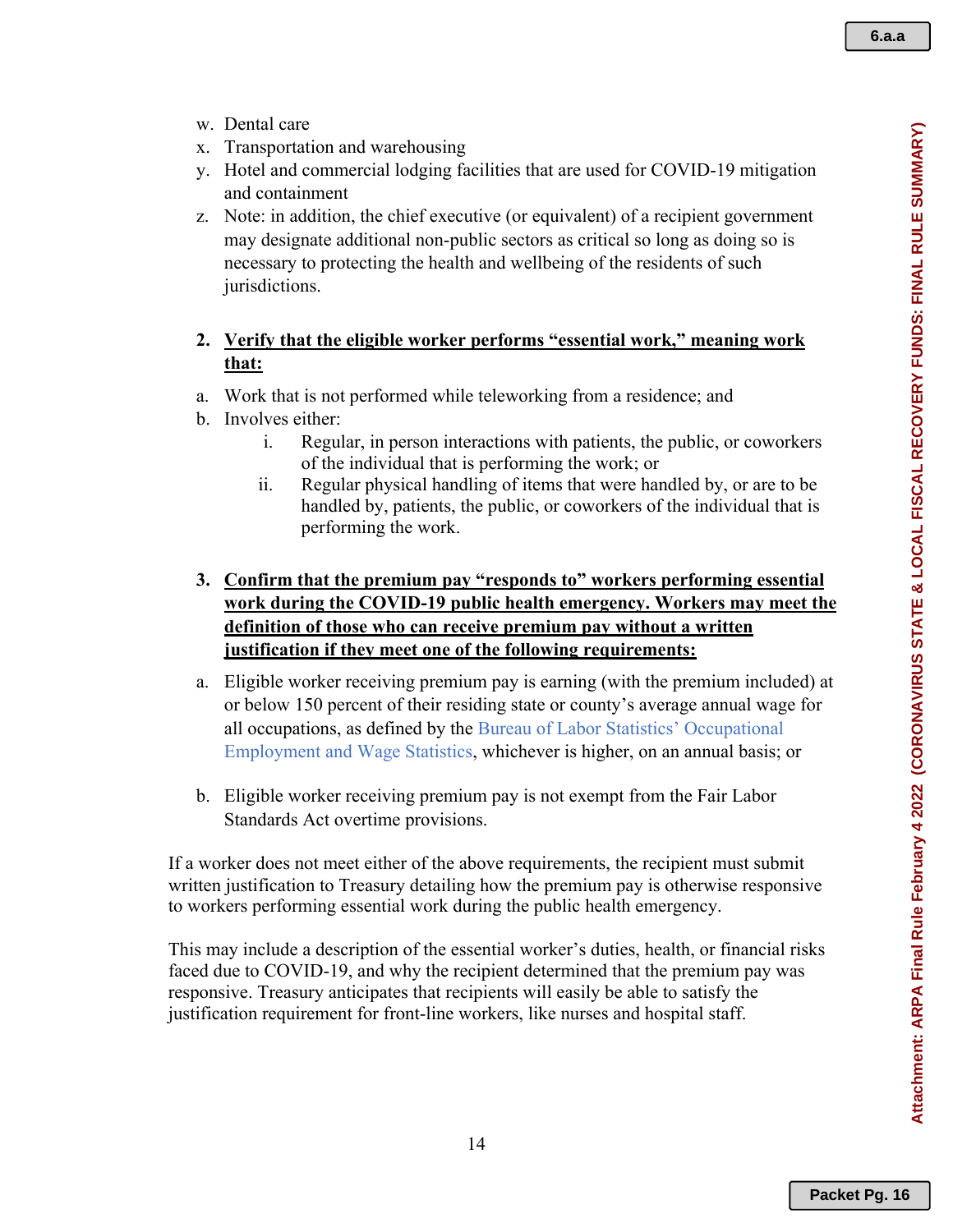- w. Dental care
- x. Transportation and warehousing
- y. Hotel and commercial lodging facilities that are used for COVID-19 mitigation and containment
- z. Note: in addition, the chief executive (or equivalent) of a recipient government may designate additional non-public sectors as critical so long as doing so is necessary to protecting the health and wellbeing of the residents of such jurisdictions.

### **2. Verify that the eligible worker performs "essential work," meaning work that:**

- a. Work that is not performed while teleworking from a residence; and
- b. Involves either:
	- i. Regular, in person interactions with patients, the public, or coworkers of the individual that is performing the work; or
	- ii. Regular physical handling of items that were handled by, or are to be handled by, patients, the public, or coworkers of the individual that is performing the work.
- **3. Confirm that the premium pay "responds to" workers performing essential work during the COVID-19 public health emergency. Workers may meet the definition of those who can receive premium pay without a written justification if they meet one of the following requirements:**
- a. Eligible worker receiving premium pay is earning (with the premium included) at or below 150 percent of their residing state or county's average annual wage for all occupations, as defined by the Bureau of Labor Statistics' Occupational Employment and Wage Statistics, whichever is higher, on an annual basis; or
- b. Eligible worker receiving premium pay is not exempt from the Fair Labor Standards Act overtime provisions.

If a worker does not meet either of the above requirements, the recipient must submit written justification to Treasury detailing how the premium pay is otherwise responsive to workers performing essential work during the public health emergency.

This may include a description of the essential worker's duties, health, or financial risks faced due to COVID-19, and why the recipient determined that the premium pay was responsive. Treasury anticipates that recipients will easily be able to satisfy the justification requirement for front-line workers, like nurses and hospital staff.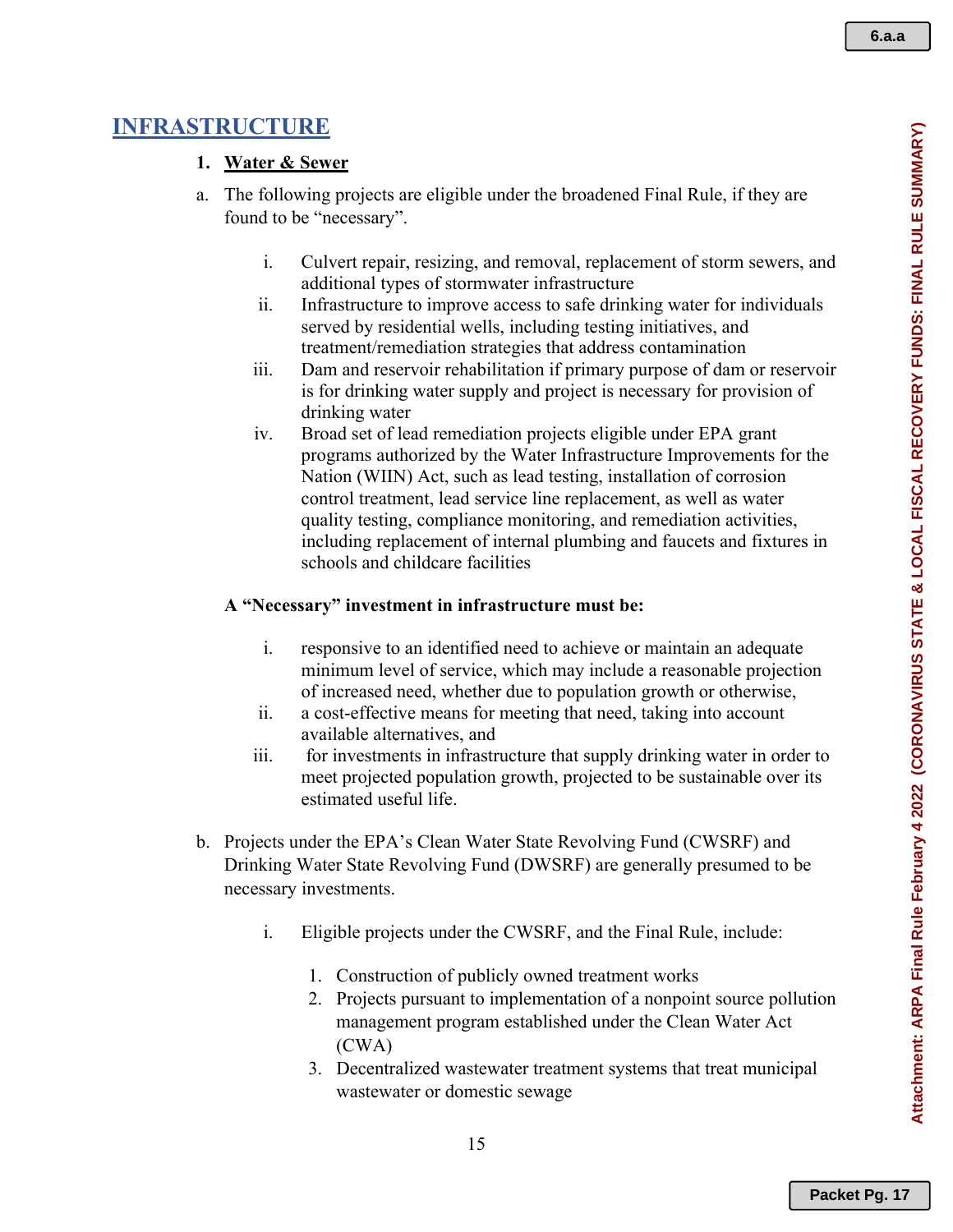# **INFRASTRUCTURE**

## **1. Water & Sewer**

- a. The following projects are eligible under the broadened Final Rule, if they are found to be "necessary".
	- i. Culvert repair, resizing, and removal, replacement of storm sewers, and additional types of stormwater infrastructure
	- ii. Infrastructure to improve access to safe drinking water for individuals served by residential wells, including testing initiatives, and treatment/remediation strategies that address contamination
	- iii. Dam and reservoir rehabilitation if primary purpose of dam or reservoir is for drinking water supply and project is necessary for provision of drinking water
	- iv. Broad set of lead remediation projects eligible under EPA grant programs authorized by the Water Infrastructure Improvements for the Nation (WIIN) Act, such as lead testing, installation of corrosion control treatment, lead service line replacement, as well as water quality testing, compliance monitoring, and remediation activities, including replacement of internal plumbing and faucets and fixtures in schools and childcare facilities

## **A "Necessary" investment in infrastructure must be:**

- i. responsive to an identified need to achieve or maintain an adequate minimum level of service, which may include a reasonable projection of increased need, whether due to population growth or otherwise,
- ii. a cost-effective means for meeting that need, taking into account available alternatives, and
- iii. for investments in infrastructure that supply drinking water in order to meet projected population growth, projected to be sustainable over its estimated useful life.
- b. Projects under the EPA's Clean Water State Revolving Fund (CWSRF) and Drinking Water State Revolving Fund (DWSRF) are generally presumed to be necessary investments.
	- i. Eligible projects under the CWSRF, and the Final Rule, include:
		- 1. Construction of publicly owned treatment works
		- 2. Projects pursuant to implementation of a nonpoint source pollution management program established under the Clean Water Act (CWA)
		- 3. Decentralized wastewater treatment systems that treat municipal wastewater or domestic sewage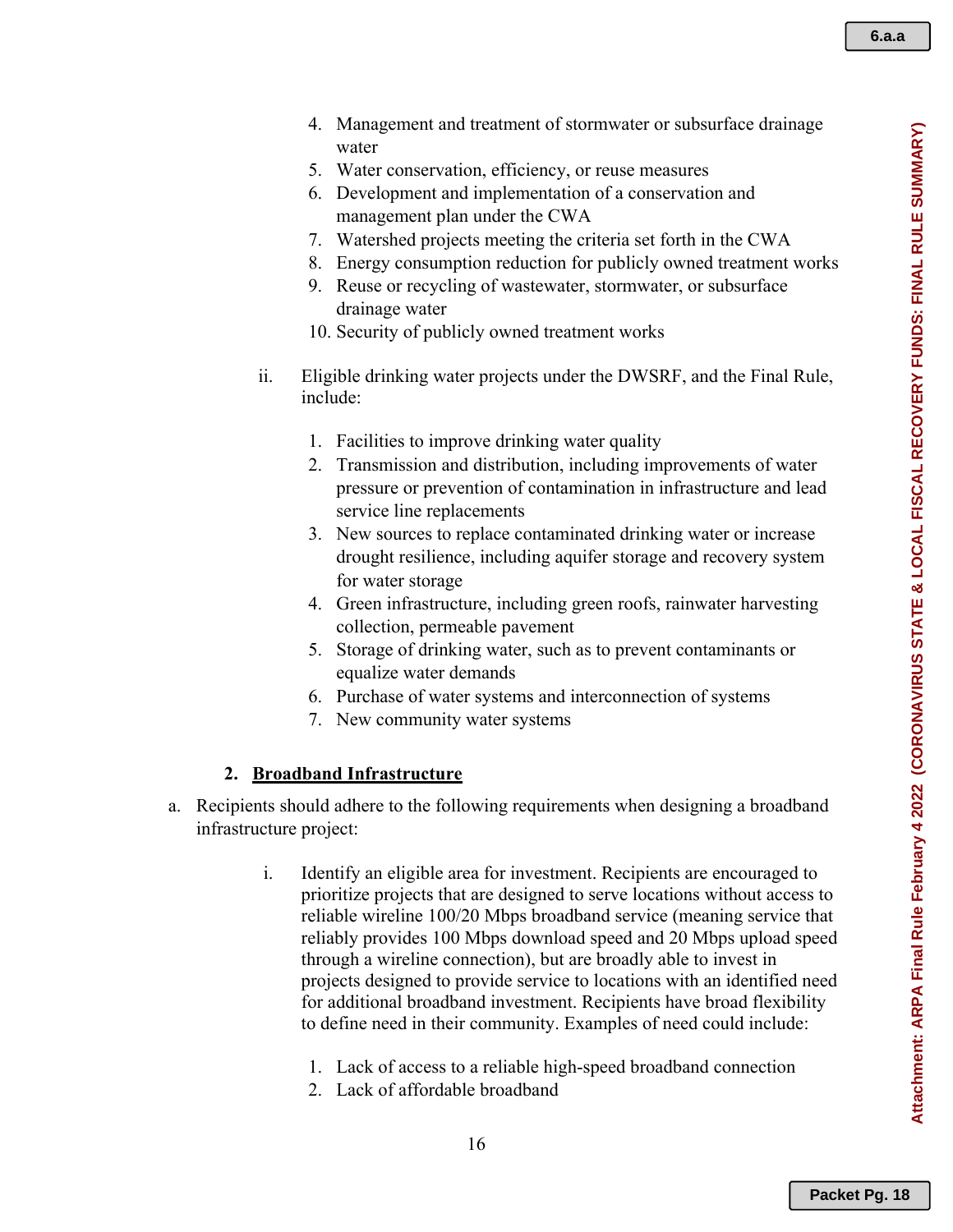- 4. Management and treatment of stormwater or subsurface drainage water
- 5. Water conservation, efficiency, or reuse measures
- 6. Development and implementation of a conservation and management plan under the CWA
- 7. Watershed projects meeting the criteria set forth in the CWA
- 8. Energy consumption reduction for publicly owned treatment works
- 9. Reuse or recycling of wastewater, stormwater, or subsurface drainage water
- 10. Security of publicly owned treatment works
- ii. Eligible drinking water projects under the DWSRF, and the Final Rule, include:
	- 1. Facilities to improve drinking water quality
	- 2. Transmission and distribution, including improvements of water pressure or prevention of contamination in infrastructure and lead service line replacements
	- 3. New sources to replace contaminated drinking water or increase drought resilience, including aquifer storage and recovery system for water storage
	- 4. Green infrastructure, including green roofs, rainwater harvesting collection, permeable pavement
	- 5. Storage of drinking water, such as to prevent contaminants or equalize water demands
	- 6. Purchase of water systems and interconnection of systems
	- 7. New community water systems

#### **2. Broadband Infrastructure**

- a. Recipients should adhere to the following requirements when designing a broadband infrastructure project:
	- i. Identify an eligible area for investment. Recipients are encouraged to prioritize projects that are designed to serve locations without access to reliable wireline 100/20 Mbps broadband service (meaning service that reliably provides 100 Mbps download speed and 20 Mbps upload speed through a wireline connection), but are broadly able to invest in projects designed to provide service to locations with an identified need for additional broadband investment. Recipients have broad flexibility to define need in their community. Examples of need could include:
		- 1. Lack of access to a reliable high-speed broadband connection
		- 2. Lack of affordable broadband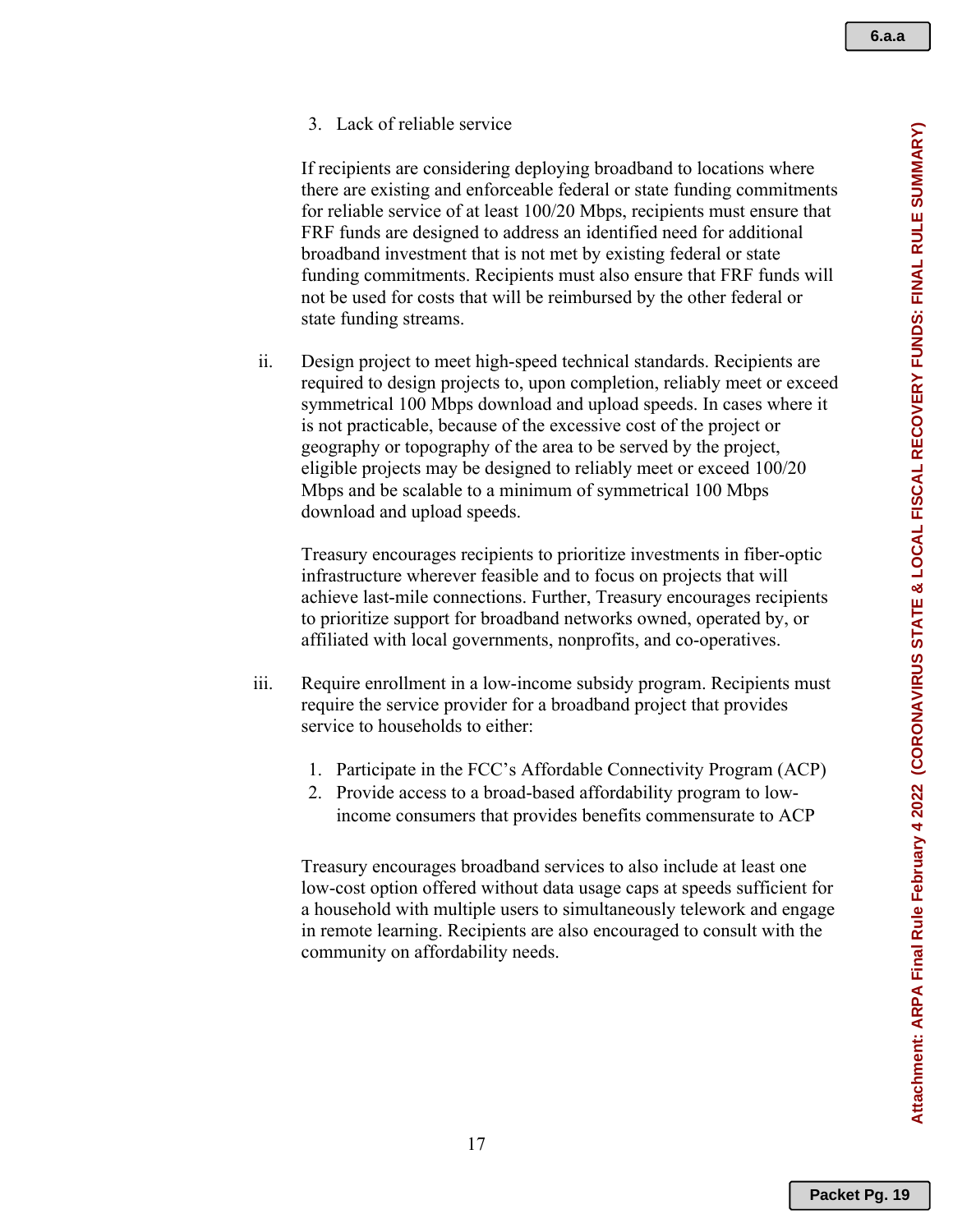Attachment: ARPA Final Rule February 4 2022 (CORONAVIRUS STATE & LOCAL FISCAL RECOVERY FUNDS: FINAL RULE SUMMARY) **Attachment: ARPA Final Rule February 4 2022 (CORONAVIRUS STATE & LOCAL FISCAL RECOVERY FUNDS: FINAL RULE SUMMARY)**

3. Lack of reliable service

If recipients are considering deploying broadband to locations where there are existing and enforceable federal or state funding commitments for reliable service of at least 100/20 Mbps, recipients must ensure that FRF funds are designed to address an identified need for additional broadband investment that is not met by existing federal or state funding commitments. Recipients must also ensure that FRF funds will not be used for costs that will be reimbursed by the other federal or state funding streams.

ii. Design project to meet high-speed technical standards. Recipients are required to design projects to, upon completion, reliably meet or exceed symmetrical 100 Mbps download and upload speeds. In cases where it is not practicable, because of the excessive cost of the project or geography or topography of the area to be served by the project, eligible projects may be designed to reliably meet or exceed 100/20 Mbps and be scalable to a minimum of symmetrical 100 Mbps download and upload speeds.

Treasury encourages recipients to prioritize investments in fiber-optic infrastructure wherever feasible and to focus on projects that will achieve last-mile connections. Further, Treasury encourages recipients to prioritize support for broadband networks owned, operated by, or affiliated with local governments, nonprofits, and co-operatives.

- iii. Require enrollment in a low-income subsidy program. Recipients must require the service provider for a broadband project that provides service to households to either:
	- 1. Participate in the FCC's Affordable Connectivity Program (ACP)
	- 2. Provide access to a broad-based affordability program to lowincome consumers that provides benefits commensurate to ACP

Treasury encourages broadband services to also include at least one low-cost option offered without data usage caps at speeds sufficient for a household with multiple users to simultaneously telework and engage in remote learning. Recipients are also encouraged to consult with the community on affordability needs.